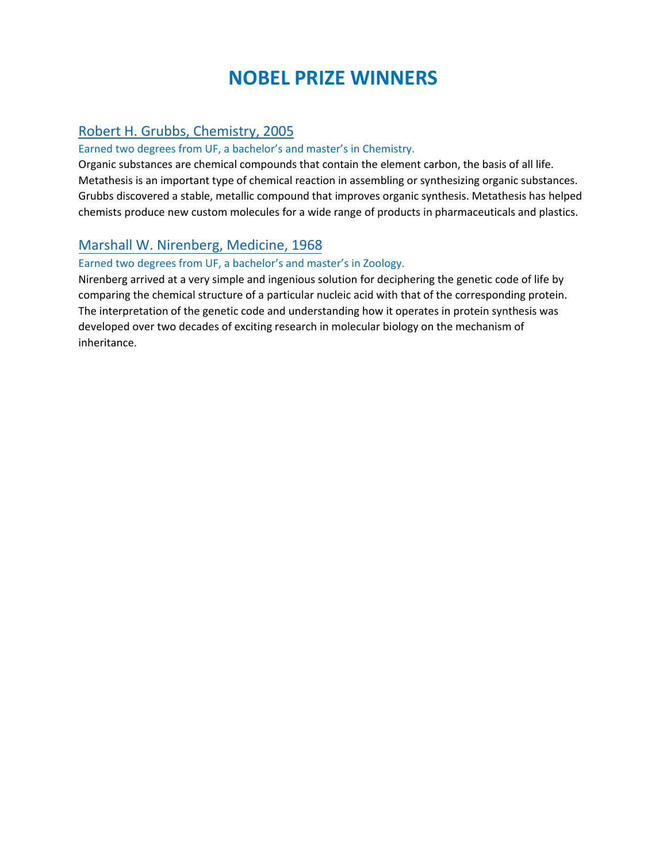# **NOBEL PRIZE WINNERS**

### [Robert H. Grubbs, Chemistry, 2005](https://www.nobelprize.org/prizes/chemistry/2005/grubbs/biographical/)

#### Earned two degrees from UF, a bachelor's and master's in Chemistry.

Organic substances are chemical compounds that contain the element carbon, the basis of all life. Metathesis is an important type of chemical reaction in assembling or synthesizing organic substances. Grubbs discovered a stable, metallic compound that improves organic synthesis. Metathesis has helped chemists produce new custom molecules for a wide range of products in pharmaceuticals and plastics.

## [Marshall W. Nirenberg, Medicine, 1](https://www.nobelprize.org/prizes/medicine/1978/smith/biographical/)968

#### Earned two degrees from UF, a bachelor's and master's in Zoology.

Nirenberg arrived at a very simple and ingenious solution for deciphering the genetic code of life by comparing the chemical structure of a particular nucleic acid with that of the corresponding protein. The interpretation of the genetic code and understanding how it operates in protein synthesis was developed over two decades of exciting research in molecular biology on the mechanism of inheritance.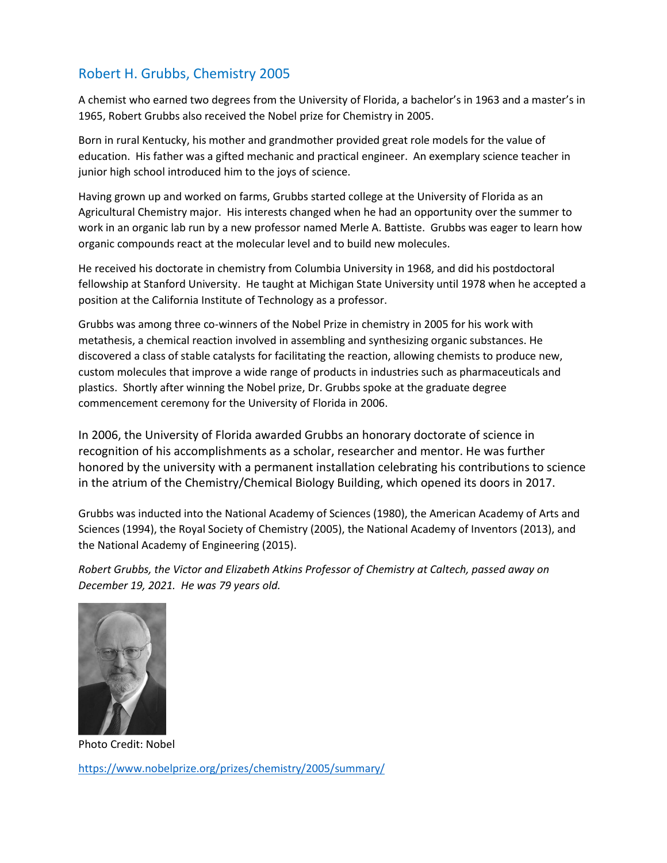## Robert H. Grubbs, Chemistry 2005

A chemist who earned two degrees from the University of Florida, a bachelor's in 1963 and a master's in 1965, Robert Grubbs also received the Nobel prize for Chemistry in 2005.

Born in rural Kentucky, his mother and grandmother provided great role models for the value of education. His father was a gifted mechanic and practical engineer. An exemplary science teacher in junior high school introduced him to the joys of science.

Having grown up and worked on farms, Grubbs started college at the University of Florida as an Agricultural Chemistry major. His interests changed when he had an opportunity over the summer to work in an organic lab run by a new professor named Merle A. Battiste. Grubbs was eager to learn how organic compounds react at the molecular level and to build new molecules.

He received his doctorate in chemistry from Columbia University in 1968, and did his postdoctoral fellowship at Stanford University. He taught at Michigan State University until 1978 when he accepted a position at the California Institute of Technology as a professor.

Grubbs was among three co-winners of the Nobel Prize in chemistry in 2005 for his work with metathesis, a chemical reaction involved in assembling and synthesizing organic substances. He discovered a class of stable catalysts for facilitating the reaction, allowing chemists to produce new, custom molecules that improve a wide range of products in industries such as pharmaceuticals and plastics. Shortly after winning the Nobel prize, Dr. Grubbs spoke at the graduate degree commencement ceremony for the University of Florida in 2006.

In 2006, the University of Florida awarded Grubbs an honorary doctorate of science in recognition of his accomplishments as a scholar, researcher and mentor. He was further honored by the university with a permanent installation celebrating his contributions to science in the atrium of the Chemistry/Chemical Biology Building, which opened its doors in 2017.

Grubbs was inducted into the National Academy of Sciences (1980), the American Academy of Arts and Sciences (1994), the Royal Society of Chemistry (2005), the National Academy of Inventors (2013), and the National Academy of Engineering (2015).

*Robert Grubbs, the Victor and Elizabeth Atkins Professor of Chemistry at Caltech, passed away on December 19, 2021. He was 79 years old.*



Photo Credit: Nobel <https://www.nobelprize.org/prizes/chemistry/2005/summary/>